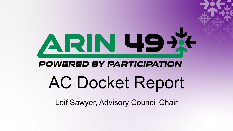# ARN 49X **POWERED BY PARTICIPATION** AC Docket Report

Leif Sawyer, Advisory Council Chair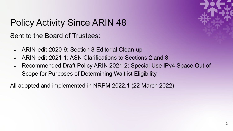

## Policy Activity Since ARIN 48 Sent to the Board of Trustees:

- ARIN-edit-2020-9: Section 8 Editorial Clean-up
- ARIN-edit-2021-1: ASN Clarifications to Sections 2 and 8
- Recommended Draft Policy ARIN 2021-2: Special Use IPv4 Space Out of Scope for Purposes of Determining Waitlist Eligibility

All adopted and implemented in NRPM 2022.1 (22 March 2022)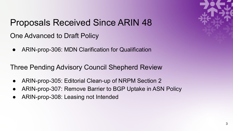

# Proposals Received Since ARIN 48

- One Advanced to Draft Policy
- ARIN-prop-306: MDN Clarification for Qualification

Three Pending Advisory Council Shepherd Review

- ARIN-prop-305: Editorial Clean-up of NRPM Section 2
- ARIN-prop-307: Remove Barrier to BGP Uptake in ASN Policy
- ARIN-prop-308: Leasing not Intended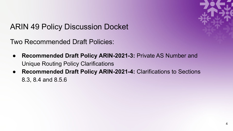

#### ARIN 49 Policy Discussion Docket

Two Recommended Draft Policies:

- **Recommended Draft Policy ARIN-2021-3:** Private AS Number and Unique Routing Policy Clarifications
- **Recommended Draft Policy ARIN-2021-4:** Clarifications to Sections 8.3, 8.4 and 8.5.6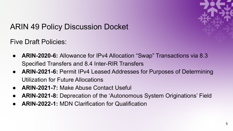

#### ARIN 49 Policy Discussion Docket

Five Draft Policies:

- **ARIN-2020-6:** Allowance for IPv4 Allocation "Swap" Transactions via 8.3 Specified Transfers and 8.4 Inter-RIR Transfers
- **ARIN-2021-6:** Permit IPv4 Leased Addresses for Purposes of Determining Utilization for Future Allocations
- **ARIN-2021-7:** Make Abuse Contact Useful
- **ARIN-2021-8:** Deprecation of the 'Autonomous System Originations' Field
- **ARIN-2022-1:** MDN Clarification for Qualification